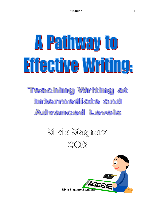# A Painway to Eifeeüve Writing, **Teaching Writing at** Intermediate and Advanced Levels

# Silvia Stagnaro  $20006$

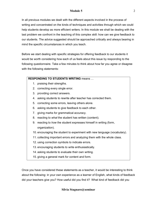# **Module 5**

In all previous modules we dealt with the different aspects involved in the process of writing and concentrated on the kinds of techniques and activities through which we could help students develop as more efficient writers. In this module we shall be dealing with the last problem we confront in the teaching of this complex skill: how can we give feedback to our students. The advice suggested should be approached critically and always bearing in mind the specific circumstances in which you teach.

Before we start dealing with specific strategies for offering feedback to our students it would be worth considering how each of us feels about this issue by responding to the following questionnaire. Take a few minutes to think about how far you agree or disagree with the following statements:

| <b>RESPONDING TO STUDENTS WRITING means</b> |                                                                           |
|---------------------------------------------|---------------------------------------------------------------------------|
|                                             | 1. praising their strengths.                                              |
|                                             | 2. correcting every single error.                                         |
|                                             | 3. providing correct answers.                                             |
|                                             | 4. asking students to rewrite after teacher has corrected them.           |
| 5.                                          | correcting some errors, leaving others alone.                             |
|                                             | 6. asking students to give feedback to each other.                        |
| 7.                                          | giving marks for grammatical accuracy.                                    |
| 8.                                          | reacting to what the student has written (content).                       |
|                                             | 9. reacting to how the student expresses himself in writing (form,        |
|                                             | organization).                                                            |
|                                             | 10. encouraging the student to experiment with new language (vocabulary). |
|                                             | 11. collecting important errors and analyzing them with the whole class.  |
|                                             | 12. using correction symbols to indicate errors.                          |
|                                             |                                                                           |

- 13. encouraging students to write enthusiastically.
- 14. asking students to evaluate their own writing.
- 15. giving a general mark for content and form.

Once you have considered these statements as a teacher, it would be interesting to think about the following: in your own experience as a learner of English, what kinds of feedback did your teachers give you? How useful did you find it? What kind of feedback did you

# **Silvia Stagnaro@seminar**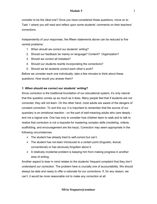# **Module 5**

consider to be the *ideal* one? Once you have considered these questions, move on to Task 1 where you will read and reflect upon some students' comments on their teachers' corrections.

Independently of your responses, the fifteen statements above can be reduced to five central problems:

- 1. When should we correct our students' writing?
- 2. Should our feedback be mainly on language? Content? Organization?
- 3. Should we correct *all* mistakes?
- 4. Should our students rewrite incorporating the corrections?
- 5. Should we let students correct each otherís work?

Before we consider each one individually, take a few minutes to think about these questions. How would you answer them?

# *1. When should we correct our studentsí writing?*

Since correction is the traditional foundation of our educational system, it's only natural that this question comes up as much as it does. Many people feel that if students are not corrected, they will not learn. On the other hand, most adults are aware of the dangers of constant correction. To sort this out, it is important to remember that the source of our quandary is an emotional reaction - on the part of well-meaning adults who care deeply and not a logical one. One has only to consider how children learn to walk and to talk to realize that correction is not a requisite for mastering complex skills (modeling, criteria, scaffolding, and encouragement are the keys). Correction may seem appropriate in the following circumstances:

- $\triangleright$  The student has already tried to self-correct but can't.
- $\triangleright$  The student has not been introduced to a certain point (linguistic, lexical, conventional) or has obviously forgotten about it.
- $\triangleright$  A relatively incidental problem is keeping him from making progress in another area of writing.

Another aspect to bear in mind relates to the students' frequent complaint that they don't understand our correction. The problem here is crucially one of accountability. We should always be able and ready to offer a rationale for our corrections. If, for any reason, we canít, it would be more reasonable not to make any correction at all.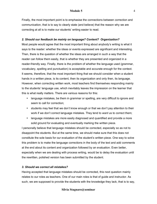Finally, the most important point is to emphasise the connections between correction and communication, that is to say to clearly state (and believe) that the reason why we are correcting at all is to make our students' writing easier to read.

#### *2. Should our feedback be mainly on language? Content? Organization?*

Most people would agree that the most important thing about anybody's writing is what it says to the reader: whether the ideas or events expressed are significant and interesting. Then, there is the question of whether the ideas are arranged in such a way that the reader can follow them easily, that is whether they are presented and organized in a reader-friendly way. Finally, there is the problem of whether the language used (grammar, vocabulary, spelling and punctuation) is acceptable and accurate enough for the context. It seems, therefore, that the most important thing that we should consider when a student hands in a written piece, is its content, then its organization and only then, its language. However, when correcting written work, most teachers find themselves responding mainly to the students' language use, which inevitably leaves the impression on the learner that this is what really matters. There are various reasons for this:

- language mistakes, be them in grammar or spelling, are very difficult to ignore and seem to call for correction;
- students may feel that we don't know enough or that we don't pay attention to their work if we donít correct language mistakes. They tend to *want* us to correct them;
- language mistakes are more easily diagnosed and quantified and provide a more solid ground for evaluating and eventually marking the written piece.

I personally believe that language mistakes should be corrected, especially so as not to disappoint the students. But at the same time, we should make sure that this does not constitute the sole basis for our evaluation of the student's written piece. One way to solve this problem is to make the language corrections in the body of the text and add comments at the end about its content and organization followed by an evaluation. Even better, especially when we are dealing with process writing, would be to delay the evaluation until the rewritten, polished version has been submitted by the student.

#### *3. Should we correct all mistakes?*

Having accepted that language mistakes should be corrected, this next question mainly relates to our roles as teachers. One of our main roles is that of guide and instructor. As such, we are supposed to provide the students with the knowledge they lack, that is to say,

#### **Silvia Stagnaro@seminar**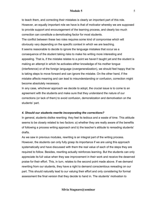#### **Module 5**

to teach them, and correcting their mistakes is clearly an important part of this role. However, an equally important role we have is that of motivator whereby we are supposed to provide support and encouragement of the learning process, and clearly too much correction can constitute a demotivating factor for most students.

The conflict between these two roles requires some kind of compromise which will obviously vary depending on the specific context in which we are teaching. It seems reasonable to decide to ignore the language mistakes that occur as a consequence of the student taking risks to make his writing more interesting and appealing. That is, if the mistake relates to a point we haven't taught yet and the student is making an attempt in which he activates either knowledge of his mother tongue (interference) or of the foreign language (overgeneralization), we should feel happy that he is taking steps to move forward and can ignore the mistake. On the other hand, if the mistake affects meaning and can lead to misunderstanding or confusion, correction might become absolutely necessary.

In any case, whichever approach we decide to adopt, the crucial issue is to come to an agreement with the students and make sure that they understand the nature of our corrections (or lack of them) to avoid confusion, demoralization and demotivation on the students' part.

#### *4. Should our students rewrite incorporating the corrections?*

In general, students dislike rewriting: they feel its tedious and a waste of time. This attitude seems to be closely related to two factors: a) whether they are really aware of the benefits of following a process writing approach and b) the teacher's attitude to rereading students' drafts.

As we saw in previous modules, rewriting is an integral part of the writing process. However, the students can only fully grasp its importance if we are using this approach systematically and have discussed with them the real value of each of the steps they are required to follow. Besides, rewriting actually reinforces learning. But the students can only appreciate its full value when they see improvement in their work and receive the deserved praise for their effort. This, in turn, relates to the second point made above. If we demand rewriting from our students, they have a right to demand conscientious rereading on our part. This should naturally lead to our valuing their effort and only considering for formal assessment the final version that they decide to hand in. The students' motivation to

**Silvia Stagnaro@seminar**